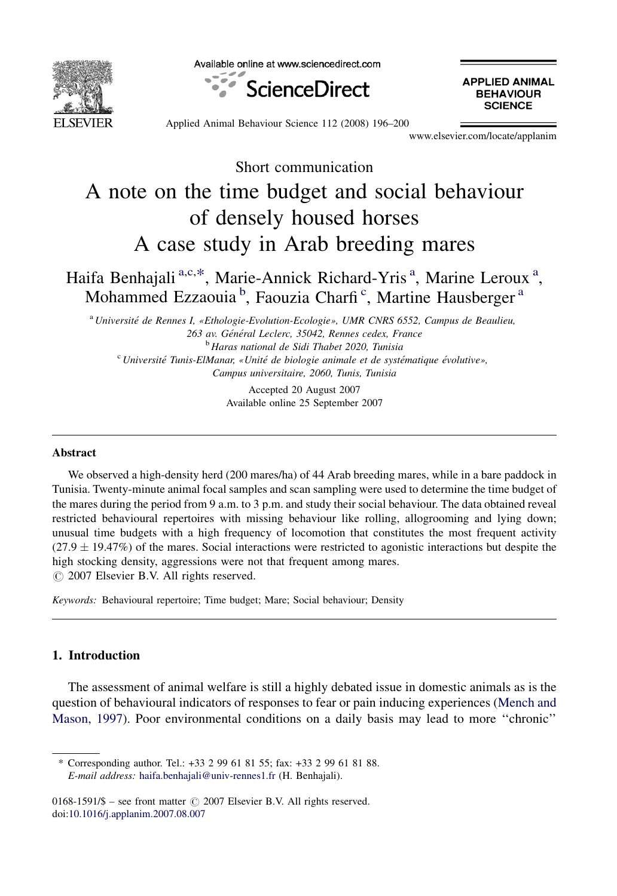

Available online at www.sciencedirect.com



**APPLIED ANIMAL BEHAVIOUR SCIENCE** 

Applied Animal Behaviour Science 112 (2008) 196–200

www.elsevier.com/locate/applanim

Short communication

# A note on the time budget and social behaviour of densely housed horses A case study in Arab breeding mares

Haifa Benhajali<sup>a,c,\*</sup>, Marie-Annick Richard-Yris<sup>a</sup>, Marine Leroux<sup>a</sup>, Mohammed Ezzaouia<sup>b</sup>, Faouzia Charfi<sup>c</sup>, Martine Hausberger<sup>a</sup>

<sup>a</sup> Université de Rennes I, «Ethologie-Evolution-Ecologie», UMR CNRS 6552, Campus de Beaulieu, 263 av. Général Leclerc, 35042, Rennes cedex, France <sup>b</sup> Haras national de Sidi Thabet 2020, Tunisia  $\degree$  Université Tunis-ElManar, «Unité de biologie animale et de systématique évolutive»,

Campus universitaire, 2060, Tunis, Tunisia

Accepted 20 August 2007 Available online 25 September 2007

### Abstract

We observed a high-density herd (200 mares/ha) of 44 Arab breeding mares, while in a bare paddock in Tunisia. Twenty-minute animal focal samples and scan sampling were used to determine the time budget of the mares during the period from 9 a.m. to 3 p.m. and study their social behaviour. The data obtained reveal restricted behavioural repertoires with missing behaviour like rolling, allogrooming and lying down; unusual time budgets with a high frequency of locomotion that constitutes the most frequent activity  $(27.9 \pm 19.47\%)$  of the mares. Social interactions were restricted to agonistic interactions but despite the high stocking density, aggressions were not that frequent among mares.  $\odot$  2007 Elsevier B.V. All rights reserved.

Keywords: Behavioural repertoire; Time budget; Mare; Social behaviour; Density

## 1. Introduction

The assessment of animal welfare is still a highly debated issue in domestic animals as is the question of behavioural indicators of responses to fear or pain inducing experiences ([Mench and](#page-4-0) [Mason, 1997](#page-4-0)). Poor environmental conditions on a daily basis may lead to more ''chronic''

\* Corresponding author. Tel.: +33 2 99 61 81 55; fax: +33 2 99 61 81 88. E-mail address: [haifa.benhajali@univ-rennes1.fr](mailto:haifa.benhajali@univ-rennes1.fr) (H. Benhajali).

 $0168-1591/\$$  – see front matter  $\odot$  2007 Elsevier B.V. All rights reserved. doi[:10.1016/j.applanim.2007.08.007](http://dx.doi.org/10.1016/j.applanim.2007.08.007)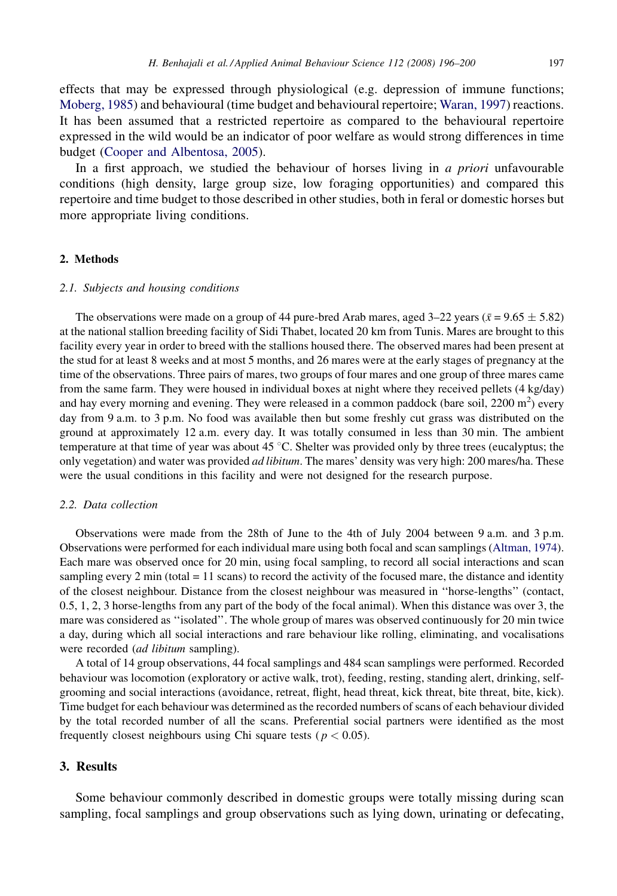effects that may be expressed through physiological (e.g. depression of immune functions; [Moberg, 1985](#page-4-0)) and behavioural (time budget and behavioural repertoire; [Waran, 1997\)](#page-4-0) reactions. It has been assumed that a restricted repertoire as compared to the behavioural repertoire expressed in the wild would be an indicator of poor welfare as would strong differences in time budget [\(Cooper and Albentosa, 2005\)](#page-3-0).

In a first approach, we studied the behaviour of horses living in a priori unfavourable conditions (high density, large group size, low foraging opportunities) and compared this repertoire and time budget to those described in other studies, both in feral or domestic horses but more appropriate living conditions.

### 2. Methods

#### 2.1. Subjects and housing conditions

The observations were made on a group of 44 pure-bred Arab mares, aged  $3-22$  years ( $\bar{x} = 9.65 \pm 5.82$ ) at the national stallion breeding facility of Sidi Thabet, located 20 km from Tunis. Mares are brought to this facility every year in order to breed with the stallions housed there. The observed mares had been present at the stud for at least 8 weeks and at most 5 months, and 26 mares were at the early stages of pregnancy at the time of the observations. Three pairs of mares, two groups of four mares and one group of three mares came from the same farm. They were housed in individual boxes at night where they received pellets (4 kg/day) and hay every morning and evening. They were released in a common paddock (bare soil,  $2200 \text{ m}^2$ ) every day from 9 a.m. to 3 p.m. No food was available then but some freshly cut grass was distributed on the ground at approximately 12 a.m. every day. It was totally consumed in less than 30 min. The ambient temperature at that time of year was about 45  $\degree$ C. Shelter was provided only by three trees (eucalyptus; the only vegetation) and water was provided *ad libitum*. The mares' density was very high: 200 mares/ha. These were the usual conditions in this facility and were not designed for the research purpose.

## 2.2. Data collection

Observations were made from the 28th of June to the 4th of July 2004 between 9 a.m. and 3 p.m. Observations were performed for each individual mare using both focal and scan samplings ([Altman, 1974\)](#page-3-0). Each mare was observed once for 20 min, using focal sampling, to record all social interactions and scan sampling every  $2 \text{ min}$  (total  $= 11 \text{ scans}$ ) to record the activity of the focused mare, the distance and identity of the closest neighbour. Distance from the closest neighbour was measured in ''horse-lengths'' (contact, 0.5, 1, 2, 3 horse-lengths from any part of the body of the focal animal). When this distance was over 3, the mare was considered as ''isolated''. The whole group of mares was observed continuously for 20 min twice a day, during which all social interactions and rare behaviour like rolling, eliminating, and vocalisations were recorded *(ad libitum* sampling).

A total of 14 group observations, 44 focal samplings and 484 scan samplings were performed. Recorded behaviour was locomotion (exploratory or active walk, trot), feeding, resting, standing alert, drinking, selfgrooming and social interactions (avoidance, retreat, flight, head threat, kick threat, bite threat, bite, kick). Time budget for each behaviour was determined as the recorded numbers of scans of each behaviour divided by the total recorded number of all the scans. Preferential social partners were identified as the most frequently closest neighbours using Chi square tests ( $p < 0.05$ ).

# 3. Results

Some behaviour commonly described in domestic groups were totally missing during scan sampling, focal samplings and group observations such as lying down, urinating or defecating,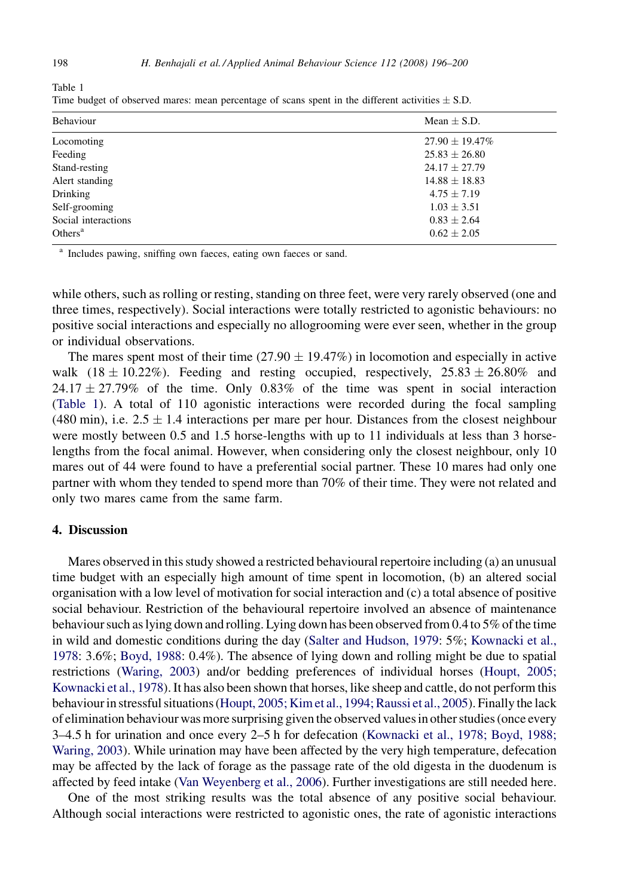| Mean $\pm$ S.D.     |
|---------------------|
| $27.90 \pm 19.47\%$ |
| $25.83 \pm 26.80$   |
| $24.17 \pm 27.79$   |
| $14.88 \pm 18.83$   |
| $4.75 \pm 7.19$     |
| $1.03 \pm 3.51$     |
| $0.83 \pm 2.64$     |
| $0.62 \pm 2.05$     |
|                     |

Time budget of observed mares: mean percentage of scans spent in the different activities  $\pm$  S.D.

<sup>a</sup> Includes pawing, sniffing own faeces, eating own faeces or sand.

while others, such as rolling or resting, standing on three feet, were very rarely observed (one and three times, respectively). Social interactions were totally restricted to agonistic behaviours: no positive social interactions and especially no allogrooming were ever seen, whether in the group or individual observations.

The mares spent most of their time  $(27.90 \pm 19.47%)$  in locomotion and especially in active walk  $(18 \pm 10.22\%)$ . Feeding and resting occupied, respectively,  $25.83 \pm 26.80\%$  and  $24.17 \pm 27.79\%$  of the time. Only 0.83% of the time was spent in social interaction (Table 1). A total of 110 agonistic interactions were recorded during the focal sampling  $(480 \text{ min})$ , i.e.  $2.5 \pm 1.4$  interactions per mare per hour. Distances from the closest neighbour were mostly between 0.5 and 1.5 horse-lengths with up to 11 individuals at less than 3 horselengths from the focal animal. However, when considering only the closest neighbour, only 10 mares out of 44 were found to have a preferential social partner. These 10 mares had only one partner with whom they tended to spend more than 70% of their time. They were not related and only two mares came from the same farm.

## 4. Discussion

Mares observed in this study showed a restricted behavioural repertoire including (a) an unusual time budget with an especially high amount of time spent in locomotion, (b) an altered social organisation with a low level of motivation for social interaction and (c) a total absence of positive social behaviour. Restriction of the behavioural repertoire involved an absence of maintenance behaviour such as lying down and rolling. Lying down has been observed from 0.4 to 5% of the time in wild and domestic conditions during the day [\(Salter and Hudson, 1979:](#page-4-0) 5%; [Kownacki et al.,](#page-4-0) [1978](#page-4-0): 3.6%; [Boyd, 1988:](#page-3-0) 0.4%). The absence of lying down and rolling might be due to spatial restrictions [\(Waring, 2003](#page-4-0)) and/or bedding preferences of individual horses [\(Houpt, 2005;](#page-4-0) [Kownacki et al., 1978](#page-4-0)). It has also been shown that horses, like sheep and cattle, do not perform this behaviour in stressful situations ([Houpt, 2005; Kim et al., 1994; Raussi et al., 2005](#page-4-0)). Finally the lack of elimination behaviour was more surprising given the observed values in other studies (once every 3–4.5 h for urination and once every 2–5 h for defecation [\(Kownacki et al., 1978; Boyd, 1988;](#page-4-0) [Waring, 2003](#page-4-0)). While urination may have been affected by the very high temperature, defecation may be affected by the lack of forage as the passage rate of the old digesta in the duodenum is affected by feed intake [\(Van Weyenberg et al., 2006](#page-4-0)). Further investigations are still needed here.

One of the most striking results was the total absence of any positive social behaviour. Although social interactions were restricted to agonistic ones, the rate of agonistic interactions

Table 1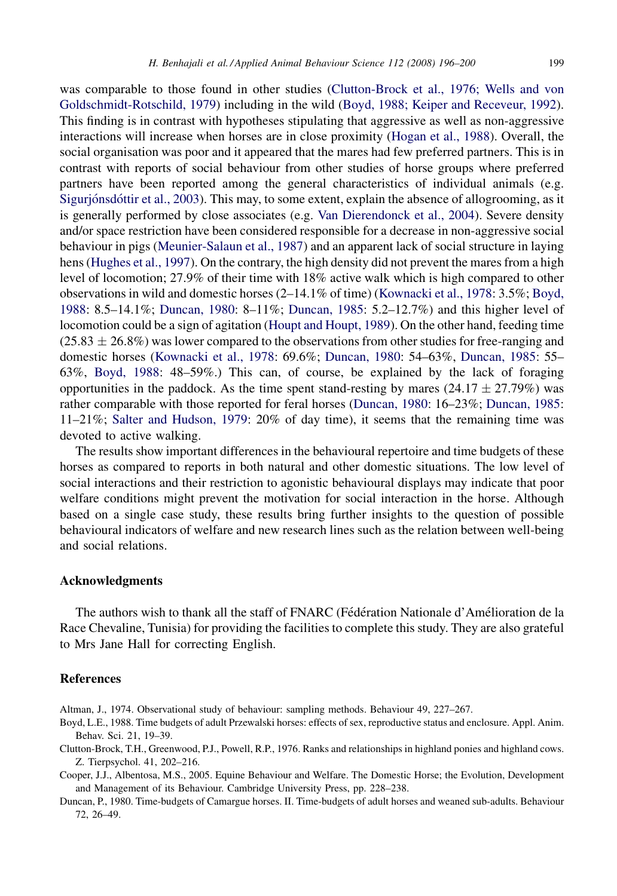<span id="page-3-0"></span>was comparable to those found in other studies (Clutton-Brock et al., 1976; Wells and von Goldschmidt-Rotschild, 1979) including in the wild (Boyd, 1988; Keiper and Receveur, 1992).

This finding is in contrast with hypotheses stipulating that aggressive as well as non-aggressive interactions will increase when horses are in close proximity ([Hogan et al., 1988\)](#page-4-0). Overall, the social organisation was poor and it appeared that the mares had few preferred partners. This is in contrast with reports of social behaviour from other studies of horse groups where preferred partners have been reported among the general characteristics of individual animals (e.g. Sigurjónsdóttir et al., 2003). This may, to some extent, explain the absence of allogrooming, as it is generally performed by close associates (e.g. [Van Dierendonck et al., 2004](#page-4-0)). Severe density and/or space restriction have been considered responsible for a decrease in non-aggressive social behaviour in pigs ([Meunier-Salaun et al., 1987](#page-4-0)) and an apparent lack of social structure in laying hens ([Hughes et al., 1997](#page-4-0)). On the contrary, the high density did not prevent the mares from a high level of locomotion; 27.9% of their time with 18% active walk which is high compared to other observations in wild and domestic horses (2–14.1% of time) [\(Kownacki et al., 1978](#page-4-0): 3.5%; Boyd, 1988: 8.5–14.1%; Duncan, 1980: 8–11%; [Duncan, 1985:](#page-4-0) 5.2–12.7%) and this higher level of locomotion could be a sign of agitation ([Houpt and Houpt, 1989](#page-4-0)). On the other hand, feeding time  $(25.83 \pm 26.8\%)$  was lower compared to the observations from other studies for free-ranging and domestic horses [\(Kownacki et al., 1978](#page-4-0): 69.6%; Duncan, 1980: 54–63%, [Duncan, 1985:](#page-4-0) 55– 63%, Boyd, 1988: 48–59%.) This can, of course, be explained by the lack of foraging opportunities in the paddock. As the time spent stand-resting by mares  $(24.17 \pm 27.79%)$  was rather comparable with those reported for feral horses (Duncan, 1980: 16–23%; [Duncan, 1985](#page-4-0): 11–21%; [Salter and Hudson, 1979:](#page-4-0) 20% of day time), it seems that the remaining time was devoted to active walking.

The results show important differences in the behavioural repertoire and time budgets of these horses as compared to reports in both natural and other domestic situations. The low level of social interactions and their restriction to agonistic behavioural displays may indicate that poor welfare conditions might prevent the motivation for social interaction in the horse. Although based on a single case study, these results bring further insights to the question of possible behavioural indicators of welfare and new research lines such as the relation between well-being and social relations.

## Acknowledgments

The authors wish to thank all the staff of FNARC (Fédération Nationale d'Amélioration de la Race Chevaline, Tunisia) for providing the facilities to complete this study. They are also grateful to Mrs Jane Hall for correcting English.

#### **References**

- Altman, J., 1974. Observational study of behaviour: sampling methods. Behaviour 49, 227–267.
- Boyd, L.E., 1988. Time budgets of adult Przewalski horses: effects of sex, reproductive status and enclosure. Appl. Anim. Behav. Sci. 21, 19–39.
- Clutton-Brock, T.H., Greenwood, P.J., Powell, R.P., 1976. Ranks and relationships in highland ponies and highland cows. Z. Tierpsychol. 41, 202–216.
- Cooper, J.J., Albentosa, M.S., 2005. Equine Behaviour and Welfare. The Domestic Horse; the Evolution, Development and Management of its Behaviour. Cambridge University Press, pp. 228–238.
- Duncan, P., 1980. Time-budgets of Camargue horses. II. Time-budgets of adult horses and weaned sub-adults. Behaviour 72, 26–49.